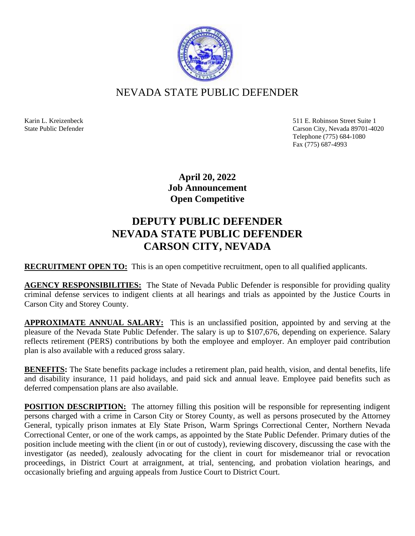

## NEVADA STATE PUBLIC DEFENDER

Karin L. Kreizenbeck 511 E. Robinson Street Suite 1 State Public Defender Carson City, Nevada 89701-4020 Telephone (775) 684-1080 Fax (775) 687-4993

> **April 20, 2022 Job Announcement Open Competitive**

## **DEPUTY PUBLIC DEFENDER NEVADA STATE PUBLIC DEFENDER CARSON CITY, NEVADA**

**RECRUITMENT OPEN TO:** This is an open competitive recruitment, open to all qualified applicants.

**AGENCY RESPONSIBILITIES:** The State of Nevada Public Defender is responsible for providing quality criminal defense services to indigent clients at all hearings and trials as appointed by the Justice Courts in Carson City and Storey County.

**APPROXIMATE ANNUAL SALARY:** This is an unclassified position, appointed by and serving at the pleasure of the Nevada State Public Defender. The salary is up to \$107,676, depending on experience. Salary reflects retirement (PERS) contributions by both the employee and employer. An employer paid contribution plan is also available with a reduced gross salary.

**BENEFITS:** The State benefits package includes a retirement plan, paid health, vision, and dental benefits, life and disability insurance, 11 paid holidays, and paid sick and annual leave. Employee paid benefits such as deferred compensation plans are also available.

**POSITION DESCRIPTION:** The attorney filling this position will be responsible for representing indigent persons charged with a crime in Carson City or Storey County, as well as persons prosecuted by the Attorney General, typically prison inmates at Ely State Prison, Warm Springs Correctional Center, Northern Nevada Correctional Center, or one of the work camps, as appointed by the State Public Defender. Primary duties of the position include meeting with the client (in or out of custody), reviewing discovery, discussing the case with the investigator (as needed), zealously advocating for the client in court for misdemeanor trial or revocation proceedings, in District Court at arraignment, at trial, sentencing, and probation violation hearings, and occasionally briefing and arguing appeals from Justice Court to District Court.